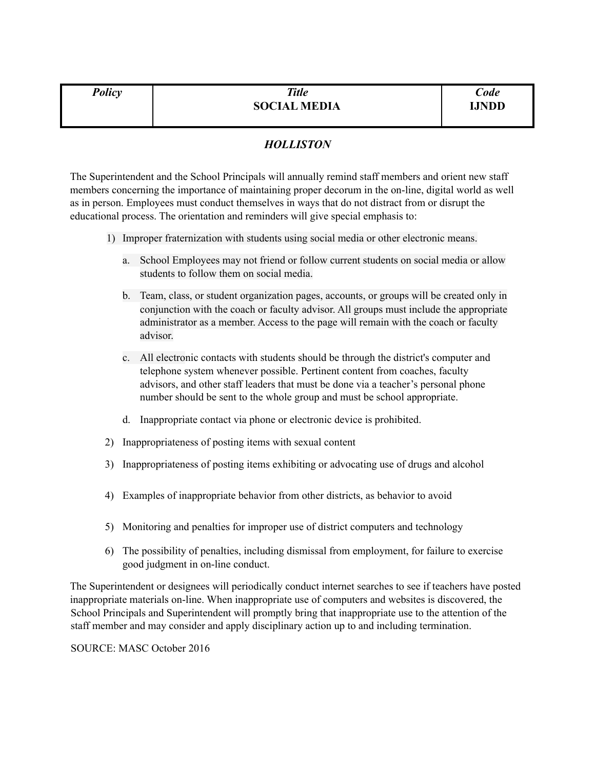| <b>Policy</b> | <b>Title</b>        | Code         |
|---------------|---------------------|--------------|
|               | <b>SOCIAL MEDIA</b> | <b>IJNDD</b> |
|               |                     |              |

## *HOLLISTON*

The Superintendent and the School Principals will annually remind staff members and orient new staff members concerning the importance of maintaining proper decorum in the on-line, digital world as well as in person. Employees must conduct themselves in ways that do not distract from or disrupt the educational process. The orientation and reminders will give special emphasis to:

- 1) Improper fraternization with students using social media or other electronic means.
	- a. School Employees may not friend or follow current students on social media or allow students to follow them on social media.
	- b. Team, class, or student organization pages, accounts, or groups will be created only in conjunction with the coach or faculty advisor. All groups must include the appropriate administrator as a member. Access to the page will remain with the coach or faculty advisor.
	- c. All electronic contacts with students should be through the district's computer and telephone system whenever possible. Pertinent content from coaches, faculty advisors, and other staff leaders that must be done via a teacher's personal phone number should be sent to the whole group and must be school appropriate.
	- d. Inappropriate contact via phone or electronic device is prohibited.
- 2) Inappropriateness of posting items with sexual content
- 3) Inappropriateness of posting items exhibiting or advocating use of drugs and alcohol
- 4) Examples of inappropriate behavior from other districts, as behavior to avoid
- 5) Monitoring and penalties for improper use of district computers and technology
- 6) The possibility of penalties, including dismissal from employment, for failure to exercise good judgment in on-line conduct.

The Superintendent or designees will periodically conduct internet searches to see if teachers have posted inappropriate materials on-line. When inappropriate use of computers and websites is discovered, the School Principals and Superintendent will promptly bring that inappropriate use to the attention of the staff member and may consider and apply disciplinary action up to and including termination.

SOURCE: MASC October 2016